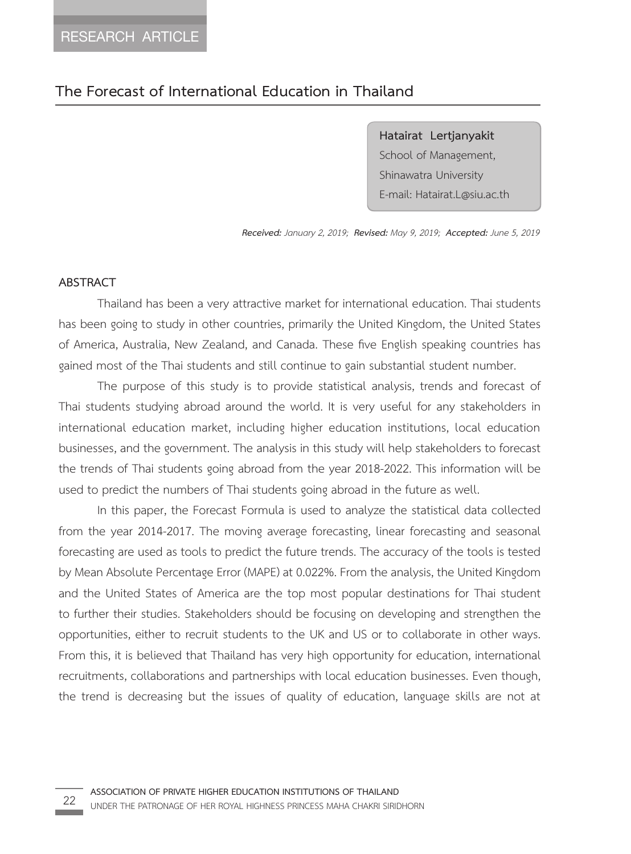### **The Forecast of International Education in Thailand**

**Hatairat Lertjanyakit**  School of Management, Shinawatra University E-mail: Hatairat.L@siu.ac.th

*Received: January 2, 2019; Revised: May 9, 2019; Accepted: June 5, 2019*

#### **ABSTRACT**

Thailand has been a very attractive market for international education. Thai students has been going to study in other countries, primarily the United Kingdom, the United States of America, Australia, New Zealand, and Canada. These five English speaking countries has gained most of the Thai students and still continue to gain substantial student number.

The purpose of this study is to provide statistical analysis, trends and forecast of Thai students studying abroad around the world. It is very useful for any stakeholders in international education market, including higher education institutions, local education businesses, and the government. The analysis in this study will help stakeholders to forecast the trends of Thai students going abroad from the year 2018-2022. This information will be used to predict the numbers of Thai students going abroad in the future as well.

In this paper, the Forecast Formula is used to analyze the statistical data collected from the year 2014-2017. The moving average forecasting, linear forecasting and seasonal forecasting are used as tools to predict the future trends. The accuracy of the tools is tested by Mean Absolute Percentage Error (MAPE) at 0.022%. From the analysis, the United Kingdom and the United States of America are the top most popular destinations for Thai student to further their studies. Stakeholders should be focusing on developing and strengthen the opportunities, either to recruit students to the UK and US or to collaborate in other ways. From this, it is believed that Thailand has very high opportunity for education, international recruitments, collaborations and partnerships with local education businesses. Even though, the trend is decreasing but the issues of quality of education, language skills are not at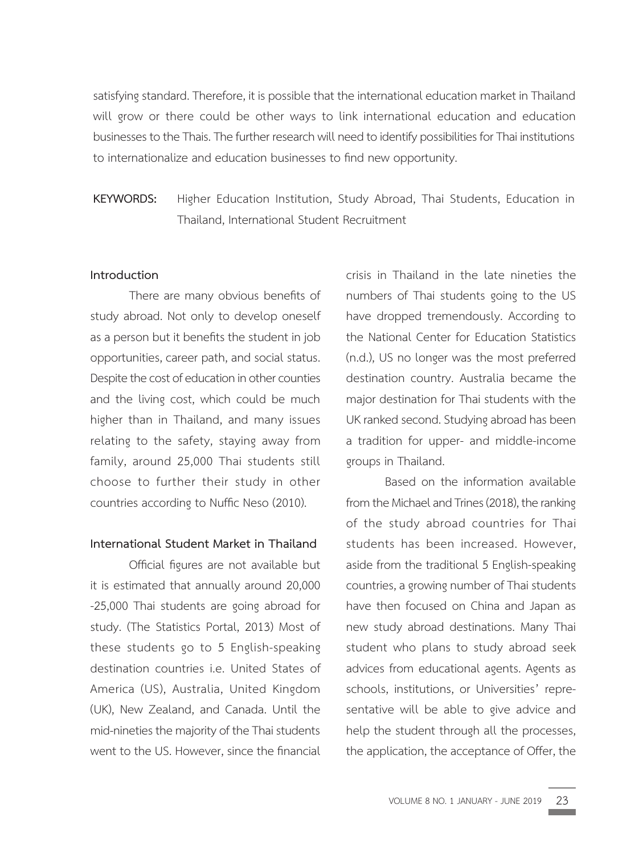satisfying standard. Therefore, it is possible that the international education market in Thailand will grow or there could be other ways to link international education and education businesses to the Thais. The further research will need to identify possibilities for Thai institutions to internationalize and education businesses to find new opportunity.

## **KEYWORDS:** Higher Education Institution, Study Abroad, Thai Students, Education in Thailand, International Student Recruitment

#### **Introduction**

There are many obvious benefits of study abroad. Not only to develop oneself as a person but it benefits the student in job opportunities, career path, and social status. Despite the cost of education in other counties and the living cost, which could be much higher than in Thailand, and many issues relating to the safety, staying away from family, around 25,000 Thai students still choose to further their study in other countries according to Nuffic Neso (2010).

#### **International Student Market in Thailand**

Official figures are not available but it is estimated that annually around 20,000 -25,000 Thai students are going abroad for study. (The Statistics Portal, 2013) Most of these students go to 5 English-speaking destination countries i.e. United States of America (US), Australia, United Kingdom (UK), New Zealand, and Canada. Until the mid-nineties the majority of the Thai students went to the US. However, since the financial

crisis in Thailand in the late nineties the numbers of Thai students going to the US have dropped tremendously. According to the National Center for Education Statistics (n.d.), US no longer was the most preferred destination country. Australia became the major destination for Thai students with the UK ranked second. Studying abroad has been a tradition for upper- and middle-income groups in Thailand.

Based on the information available from the Michael and Trines (2018), the ranking of the study abroad countries for Thai students has been increased. However, aside from the traditional 5 English-speaking countries, a growing number of Thai students have then focused on China and Japan as new study abroad destinations. Many Thai student who plans to study abroad seek advices from educational agents. Agents as schools, institutions, or Universities' representative will be able to give advice and help the student through all the processes, the application, the acceptance of Offer, the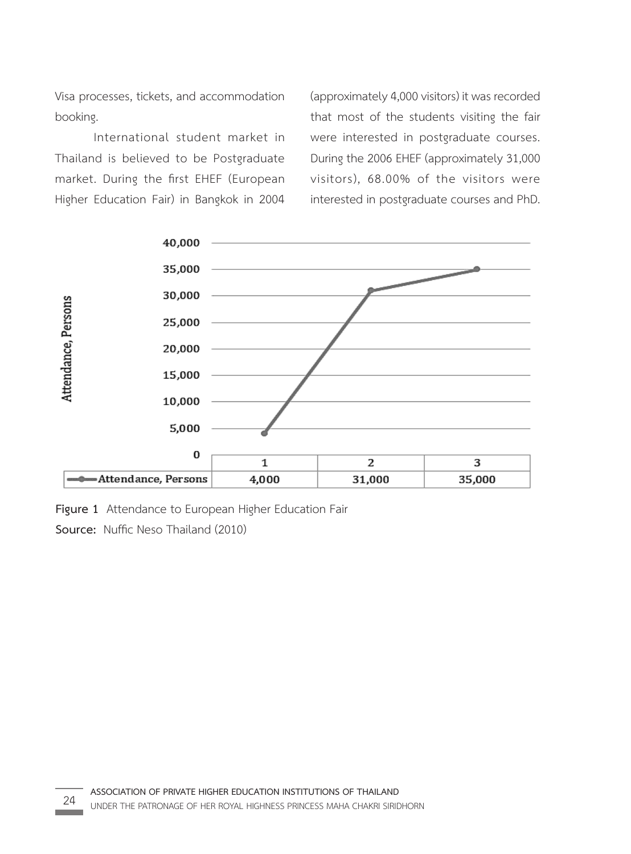Visa processes, tickets, and accommodation booking.

International student market in Thailand is believed to be Postgraduate market. During the first EHEF (European Higher Education Fair) in Bangkok in 2004 (approximately 4,000 visitors) it was recorded that most of the students visiting the fair were interested in postgraduate courses. During the 2006 EHEF (approximately 31,000 visitors), 68.00% of the visitors were interested in postgraduate courses and PhD.



**Figure 1** Attendance to European Higher Education Fair

**Source:** Nuffic Neso Thailand (2010) **Source:** Nuffic Neso Thailand (2010)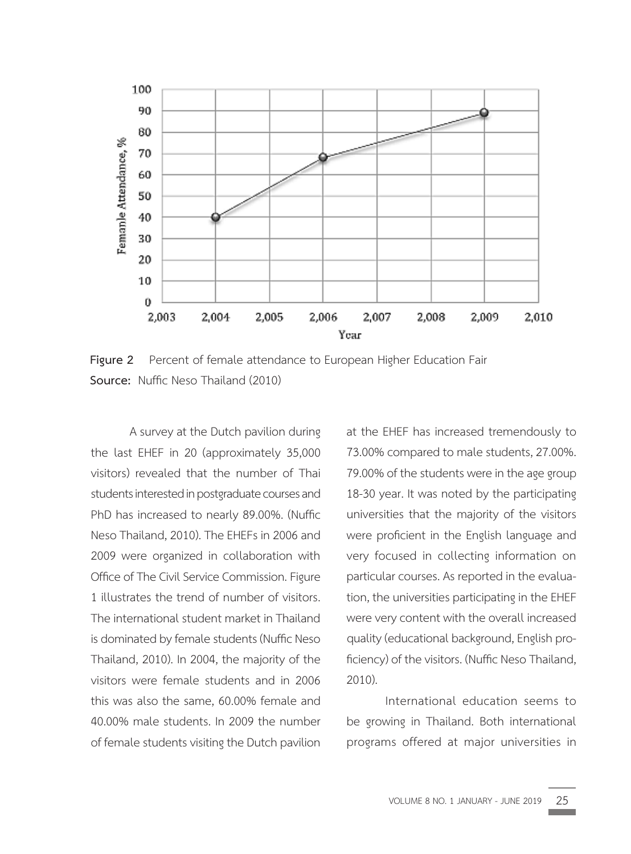

**Figure 2** Percent of female attendance to European Higher Education Fair **Source:** Nuffic Neso Thailand (2010)

A survey at the Dutch pavilion during the last EHEF in 20 (approximately 35,000 visitors) revealed that the number of Thai students interested in postgraduate courses and PhD has increased to nearly 89.00%. (Nuffic Neso Thailand, 2010). The EHEFs in 2006 and 2009 were organized in collaboration with Office of The Civil Service Commission. Figure 1 illustrates the trend of number of visitors. The international student market in Thailand is dominated by female students (Nuffic Neso Thailand, 2010). In 2004, the majority of the visitors were female students and in 2006 this was also the same, 60.00% female and 40.00% male students. In 2009 the number of female students visiting the Dutch pavilion

at the EHEF has increased tremendously to 73.00% compared to male students, 27.00%. 79.00% of the students were in the age group 18-30 year. It was noted by the participating universities that the majority of the visitors were proficient in the English language and very focused in collecting information on particular courses. As reported in the evaluation, the universities participating in the EHEF were very content with the overall increased quality (educational background, English proficiency) of the visitors. (Nuffic Neso Thailand, 2010).

International education seems to be growing in Thailand. Both international programs offered at major universities in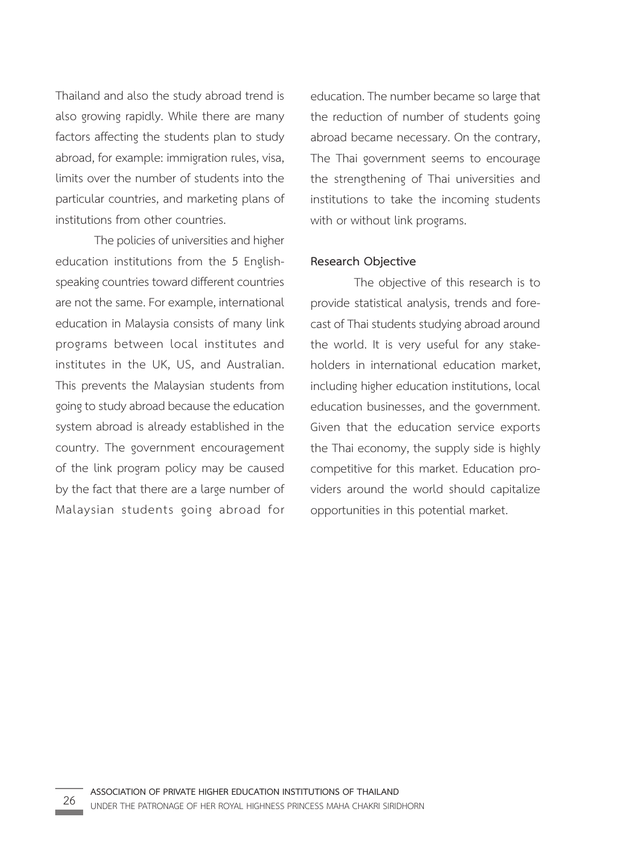Thailand and also the study abroad trend is also growing rapidly. While there are many factors affecting the students plan to study abroad, for example: immigration rules, visa, limits over the number of students into the particular countries, and marketing plans of institutions from other countries.

The policies of universities and higher education institutions from the 5 Englishspeaking countries toward different countries are not the same. For example, international education in Malaysia consists of many link programs between local institutes and institutes in the UK, US, and Australian. This prevents the Malaysian students from going to study abroad because the education system abroad is already established in the country. The government encouragement of the link program policy may be caused by the fact that there are a large number of Malaysian students going abroad for education. The number became so large that the reduction of number of students going abroad became necessary. On the contrary, The Thai government seems to encourage the strengthening of Thai universities and institutions to take the incoming students with or without link programs.

#### **Research Objective**

 The objective of this research is to provide statistical analysis, trends and forecast of Thai students studying abroad around the world. It is very useful for any stakeholders in international education market, including higher education institutions, local education businesses, and the government. Given that the education service exports the Thai economy, the supply side is highly competitive for this market. Education providers around the world should capitalize opportunities in this potential market.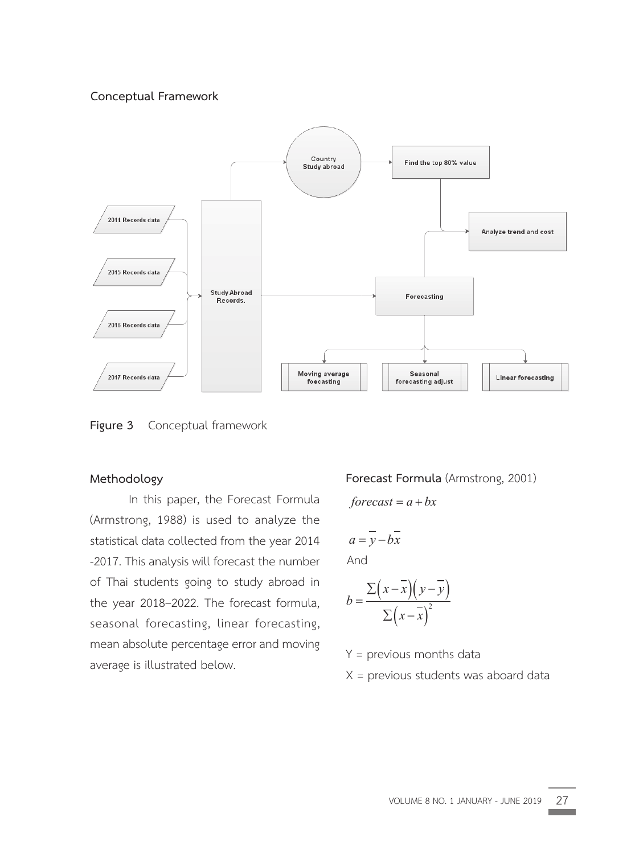# **Conceptual Framework Conceptual Framework**



**Figure 3** Conceptual framework **Figure 3** 

# Methodology (Armstrong, 1988) is used to analyze the

**Methodology**  In this paper, the Forecast Formula<br>
2008 - 2017. This analysis will forecast the state of the state of the state of the state of the state of the state of the state of the state of the state of the state of the state of t (Armstrong, 1988) is used to analyze the statistical data collected from the year 2014 -2017. This analysis will forecast the number of Thai students going to study abroad in the year 2018-2022. The forecast formula, seasonal forecasting, linear forecasting, mean absolute percentage error and moving average is illustrated below.

#### $\frac{1}{2}$ **Forecast Formula** (Armstrong, 2001) **Forecast Formula** (Armstrong, 2001)

$$
forecast = a + bx
$$

$$
a = \overline{y} - b\overline{x}
$$

*forecast a bx* And

$$
b = \frac{\Sigma(x - \overline{x})(y - \overline{y})}{\Sigma(x - \overline{x})^2}
$$

Y = previous months data Y = previous months data

X = previous students was aboard data X = previous students was aboard data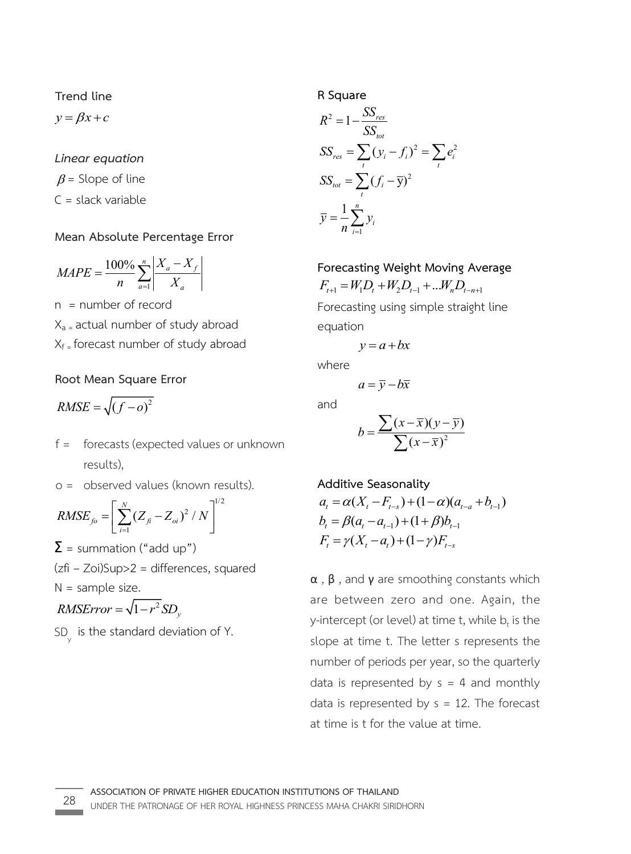**Trend line Trend line Trend line**  X = previous students was aboard data <sup>2</sup>

 $y = \beta x + c$  $T = Rx + a$  $y - \beta x + c$  $v = Bx + c$ *y x c* **Trend line**   $\frac{1}{2}$  = previous months data and  $\frac{1}{2}$ 

*Linear equation Linear equation Linear equation Linear equation Linear equation y x c* X = previous students was aboard data

 $\beta$  = Slope of line C = slack variable C = slack variable C = slack variable C = slack variable  $p = 3$  cope of the  $p = 3$  cope of the L = slack variable

#### **Mean Absolute Percentage Error Mean Absolute Percentage Error Mean Absolute Percentage Error Mean Absolute Percentage Error Mean Absolute Percentage Error**  Mean Absolute P *<u>Linear Absolute</u>*

$$
MAPE = \frac{100\%}{n} \sum_{a=1}^{n} \left| \frac{X_a - X_f}{X_a} \right|
$$
  
n = number of record

n = number of record n = number of record n = number of record n = number of record 1 *a a* x<sub>a =</sub> actual number of study abroad Xf = forecast number of study abroad Xf = forecast number of study abroad Xf = forecast number of study abroad Xf = forecast number of study abroad Xa = actual number of study abroad 100% *<sup>n</sup> a f X X*  $X_f$ <sub>=</sub> forecast number of

#### **Root Mean Square Error Root Mean Square Error Root Mean Square Error Root Mean Square Error Root Mean Square Error**   $X_{\rm eff} = \frac{1}{2} \left( \frac{1}{2} \right)^2$  , where  $\frac{1}{2} \left( \frac{1}{2} \right)^2$ Root Mean Square E

<sup>2</sup> *RMSE f o* ( ) for  $\sqrt{6}$   $\sqrt{6}$  $RMSE = \sqrt{(f - o)^2}$  $\sqrt{6}$ 

- f = forecasts (expected values or unknown results),
- o = observed values (known values (kno *R R R RMSE 2 = 0bserved values (known re* values (NTD *N*  $\sigma$  = observed values (known results).<br> *RMSE*  $\left[\sum_{i=1}^{N} (Z - Z_i)^2 / M\right]^{1/2}$

$$
RMSE_{fo} = \left[ \sum_{i=1}^{N} (Z_{fi} - Z_{oi})^2 / N \right]^{1/2}
$$

 $\Sigma$  = summation ("add up")

z = sammation (add up )<br>(zfi – Zoi)Sup>2 = differences, squared  $>$ z = airrerer *N* (zfi – Zoi)Sup>2 = differences<br>N = sample size.

2015ap>2 american *i*

$$
RMSError = \sqrt{1 - r^2} SD_y
$$

 $SD<sub>y</sub>$  is the standard deviation of Y.  $\mathsf{y}$ SD y

R Square  
\n
$$
R^{2} = 1 - \frac{SS_{res}}{SS_{tot}}
$$
\n
$$
SS_{res} = \sum_{t} (y_{i} - f_{i})^{2} = \sum_{t} e_{i}^{2}
$$
\n
$$
SS_{tot} = \sum_{t} (f_{i} - \overline{y})^{2}
$$
\n
$$
\overline{y} = \frac{1}{n} \sum_{i=1}^{n} y_{i}
$$

*Forecasting Weight Moving Average*  $\vec{a}$  –  $W$  $F_{t+1} = W_1 D_t + W_2 D_{t-1} + ... W_n D_{t-n+1}$ 

 $\frac{1}{t}$   $\frac{1}{t}$   $\frac{2}{t}$ orca<br>and  $\mathcal{L}(\mathcal{A})$  $\frac{1}{2}$ *a y bx a y bx a y bx* where Forecasting using simple straight line equation

$$
y = a + bx
$$

where

where  

$$
a = \overline{y} - b\overline{x}
$$

**Additive Seasonality Additive Seasonality Additive Seasonality**  and

$$
b = \frac{\sum (x - \overline{x})(y - \overline{y})}{\sum (x - \overline{x})^2}
$$

Additive Seasonality  
\n
$$
a_t = \alpha(X_t - F_{t-s}) + (1 - \alpha)(a_{t-a} + b_{t-1})
$$
  
\n $b_t = \beta(a_t - a_{t-1}) + (1 + \beta)b_{t-1}$   
\n $F_t = \gamma(X_t - a_t) + (1 - \gamma)F_{t-s}$ 

 $\beta$  , and  $\gamma$  are smoothing constants which e between zero and one. Again, the y-intercept (or level) at time t, while  $b_t$  is the slope at time t. The letter s represents the  $\sigma$  slope at time transfer s represents the letter s represents  $\sigma$  $\alpha$ , β, and γ are smoothing constants which **p**, and **y** are smootning constants which<br>between zero and one. Again, the thereopt (or level) at time t, while  $b_t$  is the period at time t. The letter s represents the number of periods per year, so the quarterly are between zero and one. Again, the data is represented by  $s = 4$  and monthly data is represented by  $s = 12$ . The forecast at time is t for the value at time.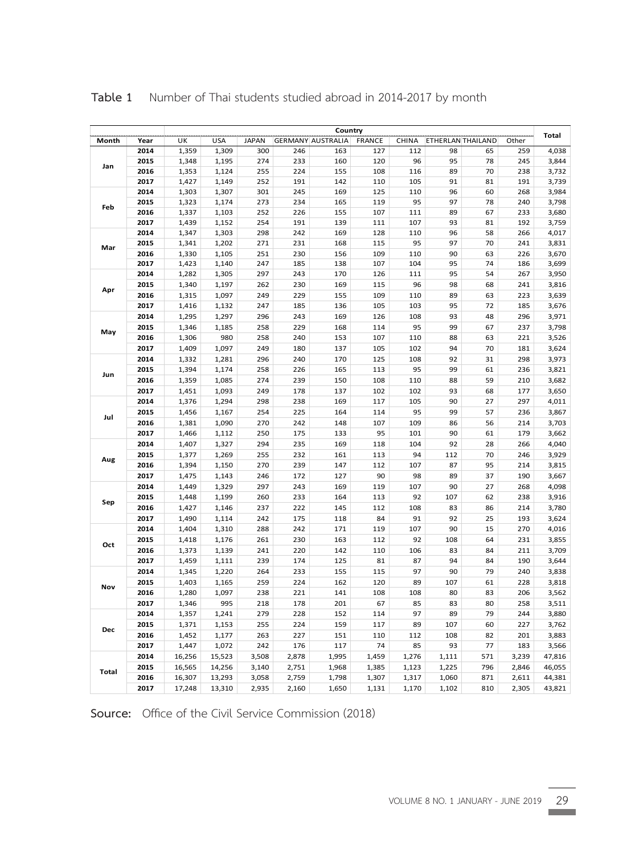|            |              |        | Country    |              |       |                          |               |              |       |                   |       |                |  |  |
|------------|--------------|--------|------------|--------------|-------|--------------------------|---------------|--------------|-------|-------------------|-------|----------------|--|--|
| Month      | Year         | UK     | <b>USA</b> | <b>JAPAN</b> |       | <b>GERMANY AUSTRALIA</b> | <b>FRANCE</b> | <b>CHINA</b> |       | ETHERLAN THAILAND | Other | <b>Total</b>   |  |  |
| Jan        | 2014         | 1,359  | 1,309      | 300          | 246   | 163                      | 127           | 112          | 98    | 65                | 259   | 4,038          |  |  |
|            | 2015         | 1,348  | 1,195      | 274          | 233   | 160                      | 120           | 96           | 95    | 78                | 245   | 3,844          |  |  |
|            | 2016         | 1,353  | 1,124      | 255          | 224   | 155                      | 108           | 116          | 89    | 70                | 238   | 3,732          |  |  |
|            | 2017         | 1,427  | 1,149      | 252          | 191   | 142                      | 110           | 105          | 91    | 81                | 191   | 3,739          |  |  |
| Feb        | 2014         | 1,303  | 1,307      | 301          | 245   | 169                      | 125           | 110          | 96    | 60                | 268   | 3,984          |  |  |
|            | 2015         | 1,323  | 1,174      | 273          | 234   | 165                      | 119           | 95           | 97    | 78                | 240   | 3,798          |  |  |
|            | 2016         | 1,337  | 1,103      | 252          | 226   | 155                      | 107           | 111          | 89    | 67                | 233   | 3,680          |  |  |
|            | 2017         | 1,439  | 1,152      | 254          | 191   | 139                      | 111           | 107          | 93    | 81                | 192   | 3,759          |  |  |
| Mar        | 2014         | 1,347  | 1,303      | 298          | 242   | 169                      | 128           | 110          | 96    | 58                | 266   | 4,017          |  |  |
|            | 2015         | 1,341  | 1,202      | 271          | 231   | 168                      | 115           | 95           | 97    | 70                | 241   | 3,831          |  |  |
|            | 2016         | 1,330  | 1,105      | 251          | 230   | 156                      | 109           | 110          | 90    | 63                | 226   | 3,670          |  |  |
|            | 2017         | 1,423  | 1,140      | 247          | 185   | 138                      | 107           | 104          | 95    | 74                | 186   | 3,699          |  |  |
|            | 2014         | 1,282  | 1,305      | 297          | 243   | 170                      | 126           | 111          | 95    | 54                | 267   | 3,950          |  |  |
| Apr        | 2015         | 1,340  | 1,197      | 262          | 230   | 169                      | 115           | 96           | 98    | 68                | 241   | 3,816          |  |  |
|            | 2016         | 1,315  | 1,097      | 249          | 229   | 155                      | 109           | 110          | 89    | 63                | 223   | 3,639          |  |  |
|            | 2017         | 1,416  | 1,132      | 247          | 185   | 136                      | 105           | 103          | 95    | 72                | 185   | 3,676          |  |  |
|            | 2014         | 1,295  | 1,297      | 296          | 243   | 169                      | 126           | 108          | 93    | 48                | 296   | 3,971          |  |  |
| May        | 2015         | 1,346  | 1,185      | 258          | 229   | 168                      | 114           | 95           | 99    | 67                | 237   | 3,798          |  |  |
|            | 2016         | 1,306  | 980        | 258          | 240   | 153                      | 107           | 110          | 88    | 63                | 221   | 3,526          |  |  |
|            | 2017         | 1,409  | 1,097      | 249          | 180   | 137                      | 105           | 102          | 94    | 70                | 181   | 3,624          |  |  |
| Jun        | 2014         | 1,332  | 1,281      | 296          | 240   | 170                      | 125           | 108          | 92    | 31                | 298   | 3,973          |  |  |
|            | 2015         | 1,394  | 1,174      | 258          | 226   | 165                      | 113           | 95           | 99    | 61                | 236   | 3,821          |  |  |
|            | 2016         | 1,359  | 1,085      | 274          | 239   | 150                      | 108           | 110          | 88    | 59                | 210   | 3,682          |  |  |
|            | 2017         | 1,451  | 1,093      | 249          | 178   | 137                      | 102           | 102          | 93    | 68                | 177   | 3,650          |  |  |
| Jul        | 2014         | 1,376  | 1,294      | 298          | 238   | 169                      | 117           | 105          | 90    | 27                | 297   | 4,011          |  |  |
|            | 2015         | 1,456  | 1,167      | 254          | 225   | 164                      | 114           | 95           | 99    | 57                | 236   | 3,867          |  |  |
|            | 2016         | 1,381  | 1,090      | 270          | 242   | 148                      | 107           | 109          | 86    | 56                | 214   | 3,703          |  |  |
|            | 2017         | 1,466  | 1,112      | 250          | 175   | 133                      | 95            | 101          | 90    | 61                | 179   | 3,662          |  |  |
|            | 2014         | 1,407  | 1,327      | 294          | 235   | 169                      | 118           | 104          | 92    | 28                | 266   | 4,040          |  |  |
|            | 2015         | 1,377  | 1,269      | 255          | 232   | 161                      | 113           | 94           | 112   | 70                | 246   | 3,929          |  |  |
| Aug        | 2016         | 1,394  | 1,150      | 270          | 239   | 147                      | 112           | 107          | 87    | 95                | 214   | 3,815          |  |  |
|            | 2017         | 1,475  | 1,143      | 246          | 172   | 127                      | 90            | 98           | 89    | 37                | 190   | 3,667          |  |  |
|            | 2014         | 1,449  | 1,329      | 297          | 243   | 169                      | 119           | 107          | 90    | 27                | 268   | 4,098          |  |  |
| Sep        |              | 1,448  |            | 260          | 233   | 164                      | 113           | 92           | 107   | 62                | 238   |                |  |  |
|            | 2015<br>2016 | 1,427  | 1,199      | 237          | 222   | 145                      | 112           | 108          | 83    | 86                | 214   | 3,916<br>3,780 |  |  |
|            |              |        | 1,146      |              |       |                          | 84            | 91           | 92    | 25                | 193   | 3,624          |  |  |
|            | 2017         | 1,490  | 1,114      | 242          | 175   | 118                      |               |              |       |                   |       |                |  |  |
| Oct<br>Nov | 2014         | 1,404  | 1,310      | 288          | 242   | 171                      | 119           | 107          | 90    | 15                | 270   | 4,016          |  |  |
|            | 2015         | 1,418  | 1,176      | 261          | 230   | 163                      | 112           | 92           | 108   | 64                | 231   | 3,855          |  |  |
|            | 2016         | 1,373  | 1,139      | 241          | 220   | 142                      | 110           | 106          | 83    | 84                | 211   | 3,709          |  |  |
|            | 2017         | 1,459  | 1,111      | 239          | 174   | 125                      | 81            | 87           | 94    | 84                | 190   | 3,644          |  |  |
|            | 2014         | 1,345  | 1,220      | 264          | 233   | 155                      | 115           | 97           | 90    | 79                | 240   | 3,838          |  |  |
|            | 2015         | 1,403  | 1,165      | 259          | 224   | 162                      | 120           | 89           | 107   | 61                | 228   | 3,818          |  |  |
|            | 2016         | 1,280  | 1,097      | 238          | 221   | 141                      | 108           | 108          | 80    | 83                | 206   | 3,562          |  |  |
|            | 2017         | 1,346  | 995        | 218          | 178   | 201                      | 67            | 85           | 83    | 80                | 258   | 3,511          |  |  |
| Dec        | 2014         | 1,357  | 1,241      | 279          | 228   | 152                      | 114           | 97           | 89    | 79                | 244   | 3,880          |  |  |
|            | 2015         | 1,371  | 1,153      | 255          | 224   | 159                      | 117           | 89           | 107   | 60                | 227   | 3,762          |  |  |
|            | 2016         | 1,452  | 1,177      | 263          | 227   | 151                      | 110           | 112          | 108   | 82                | 201   | 3,883          |  |  |
|            | 2017         | 1,447  | 1,072      | 242          | 176   | 117                      | 74            | 85           | 93    | 77                | 183   | 3,566          |  |  |
| Total      | 2014         | 16,256 | 15,523     | 3,508        | 2,878 | 1,995                    | 1,459         | 1,276        | 1,111 | 571               | 3,239 | 47,816         |  |  |
|            | 2015         | 16,565 | 14,256     | 3,140        | 2,751 | 1,968                    | 1,385         | 1,123        | 1,225 | 796               | 2,846 | 46,055         |  |  |
|            | 2016         | 16,307 | 13,293     | 3,058        | 2,759 | 1,798                    | 1,307         | 1,317        | 1,060 | 871               | 2,611 | 44,381         |  |  |
|            | 2017         | 17,248 | 13,310     | 2,935        | 2,160 | 1,650                    | 1,131         | 1,170        | 1,102 | 810               | 2,305 | 43,821         |  |  |

**Table 1** Number of Thai students studied abroad in 2014-2017 by month

**Source:** Office of the Civil Service Commission (2018)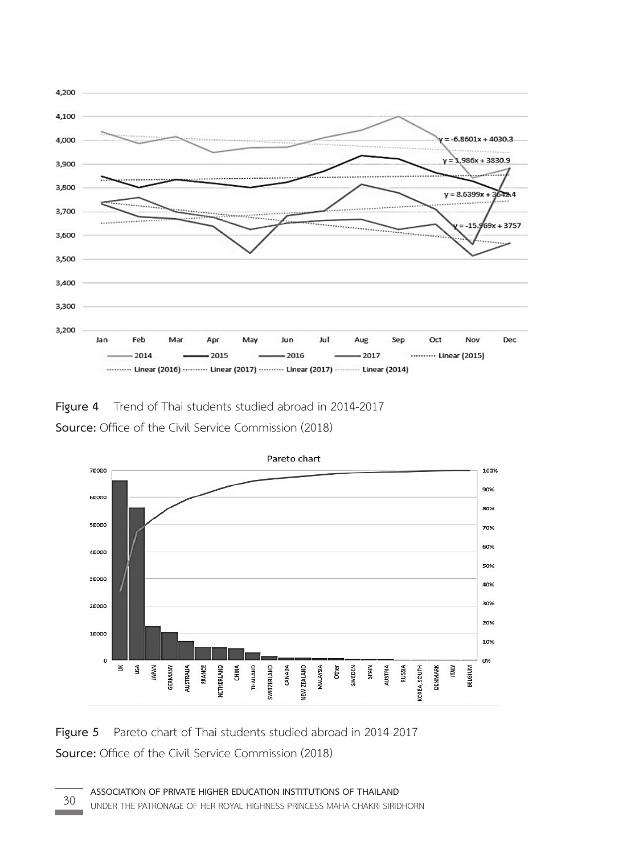

**Figure 4** Trend of Thai students studied abroad in 2014-2017 **Source:** Office of the Civil Service Commission (2018) **Source:** Office of the Civil Service Commission (2018) **Source:** Office of the Civil Service Commission (2018)



**Figure 5** Pareto chart of Thai students studied abroad in 2014-2017 **Source:** Office of the Civil Service Commission (2018)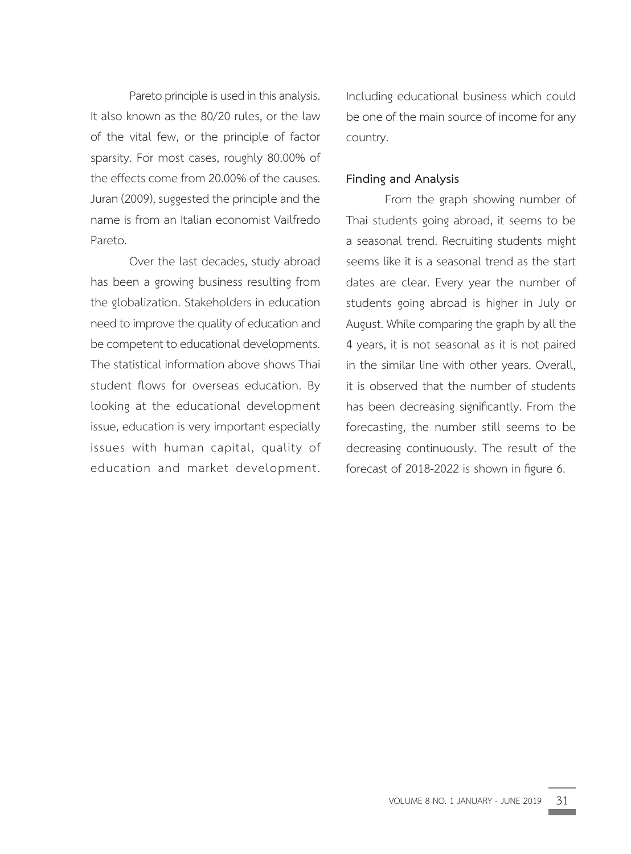Pareto principle is used in this analysis. It also known as the 80/20 rules, or the law of the vital few, or the principle of factor sparsity. For most cases, roughly 80.00% of the effects come from 20.00% of the causes. Juran (2009), suggested the principle and the name is from an Italian economist Vailfredo Pareto.

Over the last decades, study abroad has been a growing business resulting from the globalization. Stakeholders in education need to improve the quality of education and be competent to educational developments. The statistical information above shows Thai student flows for overseas education. By looking at the educational development issue, education is very important especially issues with human capital, quality of education and market development. Including educational business which could be one of the main source of income for any country.

#### **Finding and Analysis**

From the graph showing number of Thai students going abroad, it seems to be a seasonal trend. Recruiting students might seems like it is a seasonal trend as the start dates are clear. Every year the number of students going abroad is higher in July or August. While comparing the graph by all the 4 years, it is not seasonal as it is not paired in the similar line with other years. Overall, it is observed that the number of students has been decreasing significantly. From the forecasting, the number still seems to be decreasing continuously. The result of the forecast of 2018-2022 is shown in figure 6.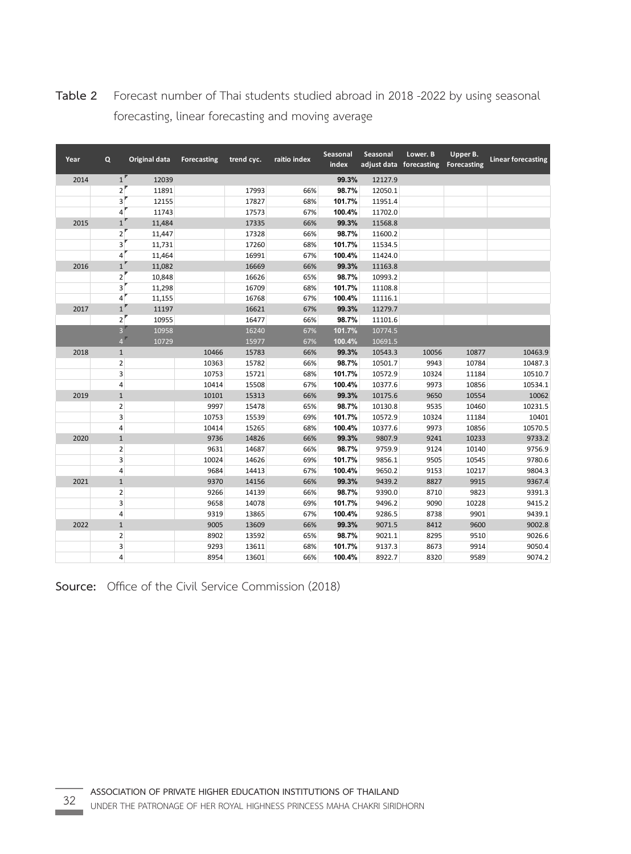| Year | Q              | Original data | Forecasting | trend cyc. | raitio index | Seasonal<br>index | Seasonal | Lower. B<br>adjust data forecasting | Upper B.<br>Forecasting | <b>Linear forecasting</b> |
|------|----------------|---------------|-------------|------------|--------------|-------------------|----------|-------------------------------------|-------------------------|---------------------------|
| 2014 | $1^{\circ}$    | 12039         |             |            |              | 99.3%             | 12127.9  |                                     |                         |                           |
|      | $\overline{2}$ | 11891         |             | 17993      | 66%          | 98.7%             | 12050.1  |                                     |                         |                           |
|      | 3              | 12155         |             | 17827      | 68%          | 101.7%            | 11951.4  |                                     |                         |                           |
|      | 4              | 11743         |             | 17573      | 67%          | 100.4%            | 11702.0  |                                     |                         |                           |
| 2015 | $\mathbf 1$    | 11,484        |             | 17335      | 66%          | 99.3%             | 11568.8  |                                     |                         |                           |
|      | $\overline{2}$ | 11,447        |             | 17328      | 66%          | 98.7%             | 11600.2  |                                     |                         |                           |
|      | 3              | 11,731        |             | 17260      | 68%          | 101.7%            | 11534.5  |                                     |                         |                           |
|      | 4              | 11,464        |             | 16991      | 67%          | 100.4%            | 11424.0  |                                     |                         |                           |
| 2016 | $\mathbf{1}$   | 11,082        |             | 16669      | 66%          | 99.3%             | 11163.8  |                                     |                         |                           |
|      | $\mathbf 2$    | 10,848        |             | 16626      | 65%          | 98.7%             | 10993.2  |                                     |                         |                           |
|      | 3              | 11,298        |             | 16709      | 68%          | 101.7%            | 11108.8  |                                     |                         |                           |
|      | 4              | 11,155        |             | 16768      | 67%          | 100.4%            | 11116.1  |                                     |                         |                           |
| 2017 | $\mathbf 1$    | 11197         |             | 16621      | 67%          | 99.3%             | 11279.7  |                                     |                         |                           |
|      | 2 <sup>1</sup> | 10955         |             | 16477      | 66%          | 98.7%             | 11101.6  |                                     |                         |                           |
|      | 3 <sup>1</sup> | 10958         |             | 16240      | 67%          | 101.7%            | 10774.5  |                                     |                         |                           |
|      | $4^{\circ}$    | 10729         |             | 15977      | 67%          | 100.4%            | 10691.5  |                                     |                         |                           |
| 2018 | $\mathbf 1$    |               | 10466       | 15783      | 66%          | 99.3%             | 10543.3  | 10056                               | 10877                   | 10463.9                   |
|      | $\mathbf 2$    |               | 10363       | 15782      | 66%          | 98.7%             | 10501.7  | 9943                                | 10784                   | 10487.3                   |
|      | 3              |               | 10753       | 15721      | 68%          | 101.7%            | 10572.9  | 10324                               | 11184                   | 10510.7                   |
|      | 4              |               | 10414       | 15508      | 67%          | 100.4%            | 10377.6  | 9973                                | 10856                   | 10534.1                   |
| 2019 | $\mathbf{1}$   |               | 10101       | 15313      | 66%          | 99.3%             | 10175.6  | 9650                                | 10554                   | 10062                     |
|      | $\overline{2}$ |               | 9997        | 15478      | 65%          | 98.7%             | 10130.8  | 9535                                | 10460                   | 10231.5                   |
|      | 3              |               | 10753       | 15539      | 69%          | 101.7%            | 10572.9  | 10324                               | 11184                   | 10401                     |
|      | 4              |               | 10414       | 15265      | 68%          | 100.4%            | 10377.6  | 9973                                | 10856                   | 10570.5                   |
| 2020 | $\mathbf{1}$   |               | 9736        | 14826      | 66%          | 99.3%             | 9807.9   | 9241                                | 10233                   | 9733.2                    |
|      | $\overline{2}$ |               | 9631        | 14687      | 66%          | 98.7%             | 9759.9   | 9124                                | 10140                   | 9756.9                    |
|      | 3              |               | 10024       | 14626      | 69%          | 101.7%            | 9856.1   | 9505                                | 10545                   | 9780.6                    |
|      | 4              |               | 9684        | 14413      | 67%          | 100.4%            | 9650.2   | 9153                                | 10217                   | 9804.3                    |
| 2021 | $\mathbf 1$    |               | 9370        | 14156      | 66%          | 99.3%             | 9439.2   | 8827                                | 9915                    | 9367.4                    |
|      | $\mathbf 2$    |               | 9266        | 14139      | 66%          | 98.7%             | 9390.0   | 8710                                | 9823                    | 9391.3                    |
|      | 3              |               | 9658        | 14078      | 69%          | 101.7%            | 9496.2   | 9090                                | 10228                   | 9415.2                    |
|      | 4              |               | 9319        | 13865      | 67%          | 100.4%            | 9286.5   | 8738                                | 9901                    | 9439.1                    |
| 2022 | $\mathbf{1}$   |               | 9005        | 13609      | 66%          | 99.3%             | 9071.5   | 8412                                | 9600                    | 9002.8                    |
|      | $\mathbf 2$    |               | 8902        | 13592      | 65%          | 98.7%             | 9021.1   | 8295                                | 9510                    | 9026.6                    |
|      | 3              |               | 9293        | 13611      | 68%          | 101.7%            | 9137.3   | 8673                                | 9914                    | 9050.4                    |
|      | 4              |               | 8954        | 13601      | 66%          | 100.4%            | 8922.7   | 8320                                | 9589                    | 9074.2                    |

**Table 2** Forecast number of Thai students studied abroad in 2018 -2022 by using seasonal forecasting, linear forecasting and moving average

forecasting, linear forecasting and moving average

**Source:** Office of the Civil Service Commission (2018) **Source:** Office of the Civil Service Commission (2018)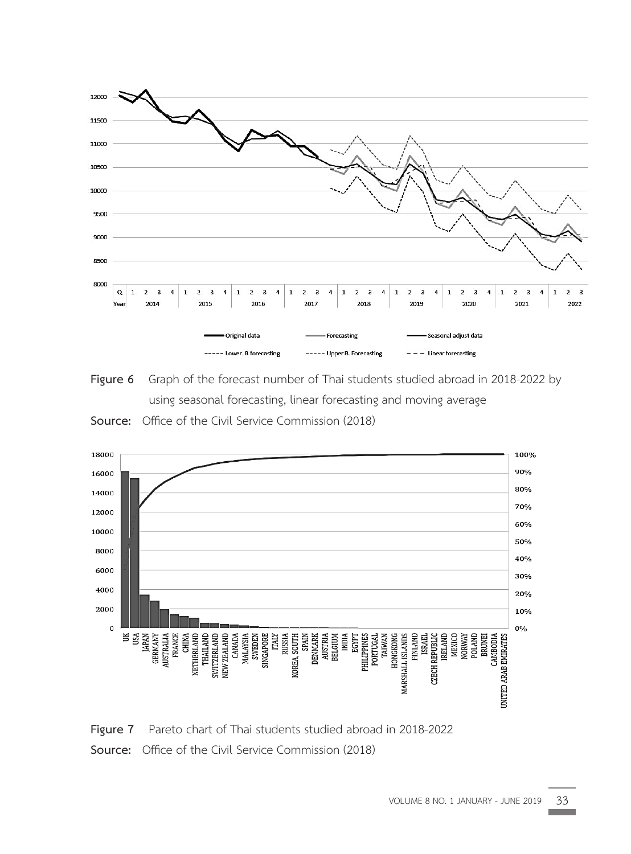







Figure 7 Pareto chart of Thai students studied abroad in 2018-2022 **Source:** Office of the Civil Service Commission (2018)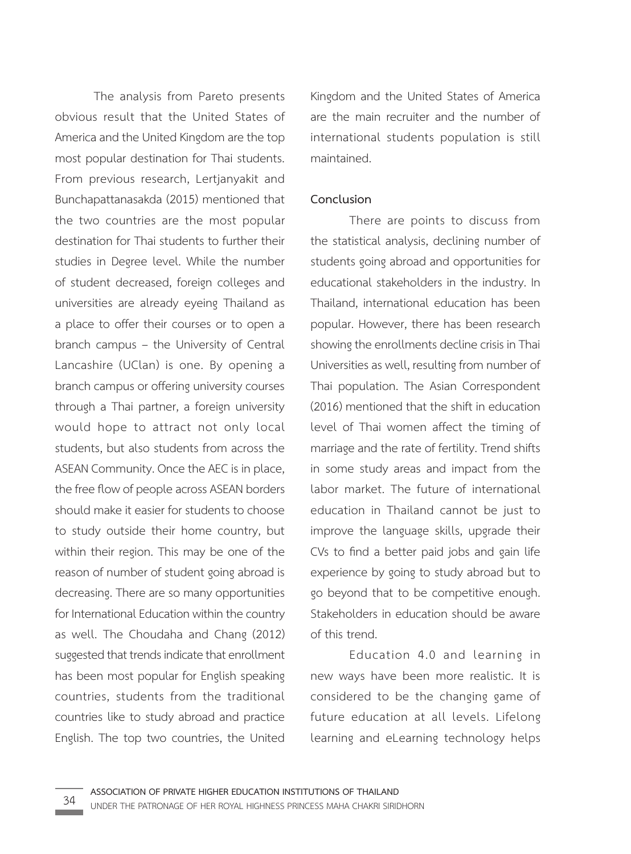The analysis from Pareto presents obvious result that the United States of America and the United Kingdom are the top most popular destination for Thai students. From previous research, Lertjanyakit and Bunchapattanasakda (2015) mentioned that the two countries are the most popular destination for Thai students to further their studies in Degree level. While the number of student decreased, foreign colleges and universities are already eyeing Thailand as a place to offer their courses or to open a branch campus – the University of Central Lancashire (UClan) is one. By opening a branch campus or offering university courses through a Thai partner, a foreign university would hope to attract not only local students, but also students from across the ASEAN Community. Once the AEC is in place, the free flow of people across ASEAN borders should make it easier for students to choose to study outside their home country, but within their region. This may be one of the reason of number of student going abroad is decreasing. There are so many opportunities for International Education within the country as well. The Choudaha and Chang (2012) suggested that trends indicate that enrollment has been most popular for English speaking countries, students from the traditional countries like to study abroad and practice English. The top two countries, the United

Kingdom and the United States of America are the main recruiter and the number of international students population is still maintained.

#### **Conclusion**

There are points to discuss from the statistical analysis, declining number of students going abroad and opportunities for educational stakeholders in the industry. In Thailand, international education has been popular. However, there has been research showing the enrollments decline crisis in Thai Universities as well, resulting from number of Thai population. The Asian Correspondent (2016) mentioned that the shift in education level of Thai women affect the timing of marriage and the rate of fertility. Trend shifts in some study areas and impact from the labor market. The future of international education in Thailand cannot be just to improve the language skills, upgrade their CVs to find a better paid jobs and gain life experience by going to study abroad but to go beyond that to be competitive enough. Stakeholders in education should be aware of this trend.

Education 4.0 and learning in new ways have been more realistic. It is considered to be the changing game of future education at all levels. Lifelong learning and eLearning technology helps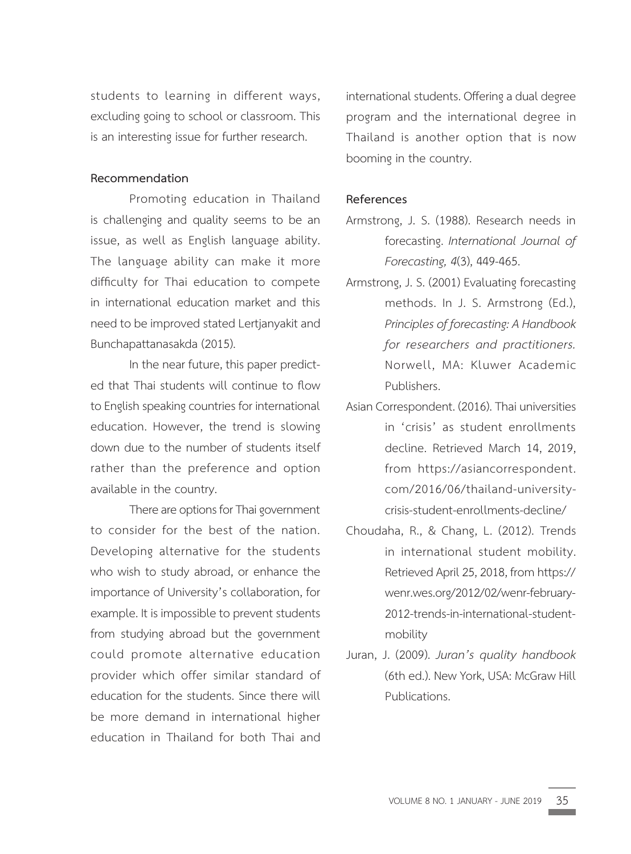students to learning in different ways, excluding going to school or classroom. This is an interesting issue for further research.

#### **Recommendation**

Promoting education in Thailand is challenging and quality seems to be an issue, as well as English language ability. The language ability can make it more difficulty for Thai education to compete in international education market and this need to be improved stated Lertjanyakit and Bunchapattanasakda (2015).

In the near future, this paper predicted that Thai students will continue to flow to English speaking countries for international education. However, the trend is slowing down due to the number of students itself rather than the preference and option available in the country.

There are options for Thai government to consider for the best of the nation. Developing alternative for the students who wish to study abroad, or enhance the importance of University's collaboration, for example. It is impossible to prevent students from studying abroad but the government could promote alternative education provider which offer similar standard of education for the students. Since there will be more demand in international higher education in Thailand for both Thai and

international students. Offering a dual degree program and the international degree in Thailand is another option that is now booming in the country.

#### **References**

- Armstrong, J. S. (1988). Research needs in forecasting. *International Journal of Forecasting, 4*(3), 449-465.
- Armstrong, J. S. (2001) Evaluating forecasting methods. In J. S. Armstrong (Ed.), *Principles of forecasting: A Handbook for researchers and practitioners.* Norwell, MA: Kluwer Academic Publishers.
- Asian Correspondent. (2016). Thai universities in 'crisis' as student enrollments decline. Retrieved March 14, 2019, from https://asiancorrespondent. com/2016/06/thailand-universitycrisis-student-enrollments-decline/
- Choudaha, R., & Chang, L. (2012). Trends in international student mobility. Retrieved April 25, 2018, from https:// wenr.wes.org/2012/02/wenr-february-2012-trends-in-international-studentmobility
- Juran, J. (2009). *Juran's quality handbook*  (6th ed.). New York, USA: McGraw Hill Publications.